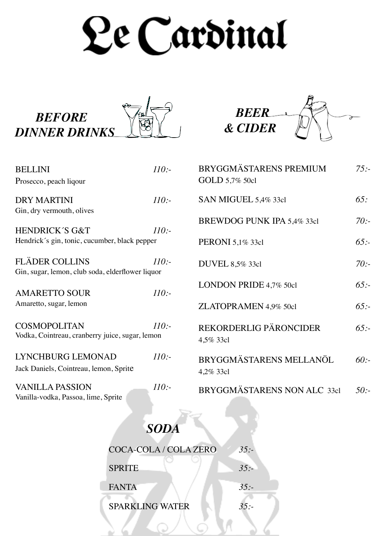# Le Cardinal



| <b>BELLINI</b><br>Prosecco, peach liqour                                   | 110: |
|----------------------------------------------------------------------------|------|
| <b>DRY MARTINI</b><br>Gin, dry vermouth, olives                            | 110: |
| <b>HENDRICK'S G&amp;T</b><br>Hendrick's gin, tonic, cucumber, black pepper | 110: |
| <b>FLÄDER COLLINS</b><br>Gin, sugar, lemon, club soda, elderflower liquor  | 110: |
| <b>AMARETTO SOUR</b>                                                       | 110: |
| Amaretto, sugar, lemon<br><b>COSMOPOLITAN</b>                              | 110: |
| Vodka, Cointreau, cranberry juice, sugar, lemon<br>LYNCHBURG LEMONAD       | 110: |
| Jack Daniels, Cointreau, lemon, Sprite<br><b>VANILLA PASSION</b>           | 110: |
| Vanilla-vodka, Passoa, lime, Sprite                                        |      |



| BRYGGMÄSTARENS PREMIUM<br>GOLD 5,7% 50cl | $75: -$ |
|------------------------------------------|---------|
| SAN MIGUEL 5,4% 33cl                     | 65:     |
| BREWDOG PUNK IPA 5,4% 33cl               | 70:     |
| PERONI 5,1% 33cl                         | 65:     |
| DUVEL 8,5% 33cl                          | 70:     |
| LONDON PRIDE 4,7% 50cl                   | 65:     |
| ZLATOPRAMEN 4,9% 50cl                    | 65:     |
| REKORDERLIG PÄRONCIDER<br>4,5% 33cl      | 65:     |
| BRYGGMÄSTARENS MELLANÖL<br>4,2% 33cl     | 60:     |
| BRYGGMÄSTARENS NON ALC 33cl              | 50:     |

 $\geq 6$ 



ر (ن

| COCA-COLA / COLA ZERO  | 35: |
|------------------------|-----|
| <b>SPRITE</b>          | 35: |
| <b>FANTA</b>           | 35: |
| <b>SPARKLING WATER</b> | 35: |
|                        |     |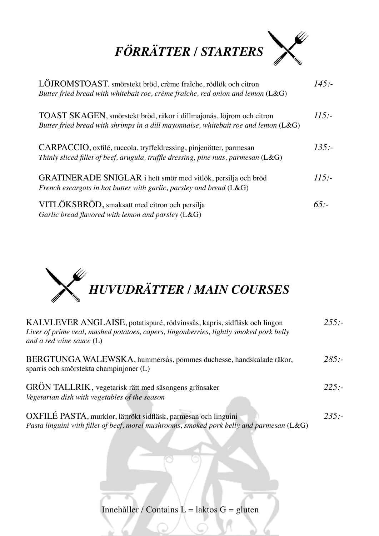

| LÖJROMSTOAST. smörstekt bröd, crème fraîche, rödlök och citron<br>Butter fried bread with whitebait roe, crème fraîche, red onion and lemon $(L&G)$           | 145:   |
|---------------------------------------------------------------------------------------------------------------------------------------------------------------|--------|
| TOAST SKAGEN, smörstekt bröd, räkor i dillmajonäs, löjrom och citron<br>Butter fried bread with shrimps in a dill mayonnaise, whitebait roe and lemon $(L&G)$ | 115:   |
| CARPACCIO, oxfilé, ruccola, tryffeldressing, pinjenötter, parmesan<br>Thinly sliced fillet of beef, arugula, truffle dressing, pine nuts, parmesan $(L&G)$    | 135:   |
| GRATINERADE SNIGLAR i hett smör med vitlök, persilja och bröd<br>French escargots in hot butter with garlic, parsley and bread $(L&G)$                        | 115:   |
| VITLÖKSBRÖD, smaksatt med citron och persilja<br>Garlic bread flavored with lemon and parsley (L&G)                                                           | $65 -$ |



| KALVLEVER ANGLAISE, potatispuré, rödvinssås, kapris, sidfläsk och lingon<br>Liver of prime veal, mashed potatoes, capers, lingonberries, lightly smoked pork belly<br>and a red wine sauce $(L)$ | 255:    |
|--------------------------------------------------------------------------------------------------------------------------------------------------------------------------------------------------|---------|
| BERGTUNGA WALEWSKA, hummersås, pommes duchesse, handskalade räkor,<br>sparris och smörstekta champinjoner (L)                                                                                    | 285:    |
| GRÖN TALLRIK, vegetarisk rätt med säsongens grönsaker<br>Vegetarian dish with vegetables of the season                                                                                           | $225 -$ |
| OXFILÉ PASTA, murklor, lättrökt sidfläsk, parmesan och linguini<br>Pasta linguini with fillet of beef, morel mushrooms, smoked pork belly and parmesan (L&G)                                     | 235:    |

Innehåller / Contains  $L =$  laktos  $G =$  gluten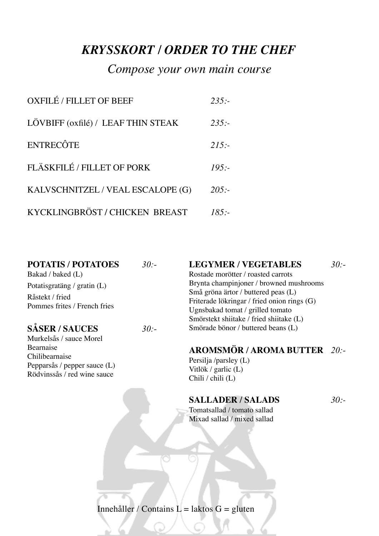## *KRYSSKORT / ORDER TO THE CHEF*

### *Compose your own main course*

| <b>OXFILÉ / FILLET OF BEEF</b>     | 235: |
|------------------------------------|------|
| LÖVBIFF (oxfilé) / LEAF THIN STEAK | 235: |
| <b>ENTRECÔTE</b>                   | 215: |
| FLÄSKFILÉ / FILLET OF PORK         | 195: |
| KALVSCHNITZEL / VEAL ESCALOPE (G)  | 205: |
| KYCKLINGBRÖST / CHICKEN BREAST     | 185: |

| <b>POTATIS / POTATOES</b>    | $30 -$ | <b>LEGYMER / VEGETABLES</b>                 | $30 -$ |
|------------------------------|--------|---------------------------------------------|--------|
| Bakad / baked (L)            |        | Rostade morötter / roasted carrots          |        |
| Potatisgratäng / gratin (L)  |        | Brynta champinjoner / browned mushrooms     |        |
| Råstekt / fried              |        | Små gröna ärtor / buttered peas (L)         |        |
|                              |        | Friterade lökringar / fried onion rings (G) |        |
| Pommes frites / French fries |        | Ugnsbakad tomat / grilled tomato            |        |
|                              |        | Smörstekt shiitake / fried shiitake (L)     |        |
| <b>SÅSER/SAUCES</b>          | 30:    | Smörade bönor / buttered beans (L)          |        |

Murkelsås / sauce Morel Bearnaise Chilibearnaise Pepparsås / pepper sauce (L) Rödvinssås / red wine sauce

#### **AROMSMÖR / AROMA BUTTER** *20:-*

Persilja /parsley (L) Vitlök / garlic (L) Chili / chili (L)

#### **SALLADER / SALADS** *30:-*

Tomatsallad / tomato sallad Mixad sallad / mixed sallad

Innehåller / Contains  $L =$  laktos  $G =$  gluten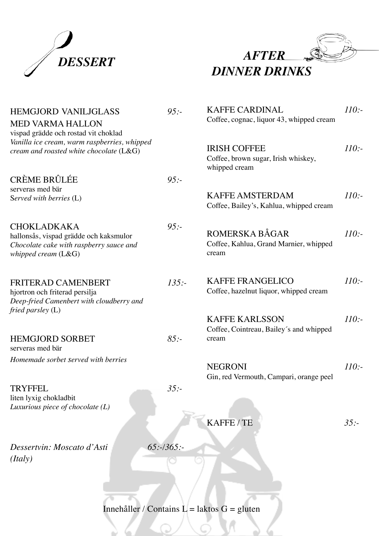



| <b>HEMGJORD VANILJGLASS</b><br><b>MED VARMA HALLON</b><br>vispad grädde och rostad vit choklad                                   | 95:          | <b>KAFFE CARDINAL</b><br>Coffee, cognac, liquor 43, whipped cream           | 110: |
|----------------------------------------------------------------------------------------------------------------------------------|--------------|-----------------------------------------------------------------------------|------|
| Vanilla ice cream, warm raspberries, whipped<br>cream and roasted white chocolate $(L&G)$                                        |              | <b>IRISH COFFEE</b><br>Coffee, brown sugar, Irish whiskey,<br>whipped cream | 110: |
| <b>CRÈME BRÛLÉE</b>                                                                                                              | 95:          |                                                                             |      |
| serveras med bär<br>Served with berries (L)                                                                                      |              | <b>KAFFE AMSTERDAM</b><br>Coffee, Bailey's, Kahlua, whipped cream           | 110: |
| <b>CHOKLADKAKA</b><br>hallonsås, vispad grädde och kaksmulor<br>Chocolate cake with raspberry sauce and<br>whipped cream $(L&G)$ | 95:          | ROMERSKA BÅGAR<br>Coffee, Kahlua, Grand Marnier, whipped<br>cream           | 110: |
| FRITERAD CAMENBERT<br>hjortron och friterad persilja<br>Deep-fried Camenbert with cloudberry and<br>fried parsley $(L)$          | 135:         | <b>KAFFE FRANGELICO</b><br>Coffee, hazelnut liquor, whipped cream           | 110: |
|                                                                                                                                  |              | <b>KAFFE KARLSSON</b>                                                       | 110: |
| <b>HEMGJORD SORBET</b><br>serveras med bär                                                                                       | 85:          | Coffee, Cointreau, Bailey's and whipped<br>cream                            |      |
| Homemade sorbet served with berries                                                                                              |              | <b>NEGRONI</b><br>Gin, red Vermouth, Campari, orange peel                   | 110: |
| <b>TRYFFEL</b><br>liten lyxig chokladbit<br>Luxurious piece of chocolate $(L)$                                                   | $35: -$      |                                                                             |      |
|                                                                                                                                  |              | KAFFE/TE                                                                    | 35:  |
| Dessertvin: Moscato d'Asti<br>(Italy)                                                                                            | $65:-/365:-$ |                                                                             |      |

Innehåller / Contains  $L =$  laktos  $G =$  gluten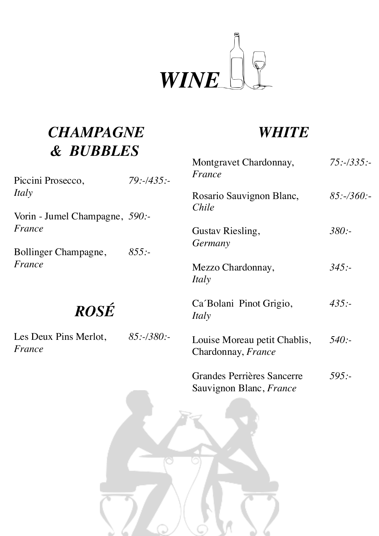

# *CHAMPAGNE & BUBBLES*

## *WHITE*

| Piccini Prosecco,               | 79:435:      | Montgravet Chardonnay,<br>France                          | $75: -335: -$ |
|---------------------------------|--------------|-----------------------------------------------------------|---------------|
| Italy                           |              | Rosario Sauvignon Blanc,<br>Chile                         | $85:-/360:-$  |
| Vorin - Jumel Champagne, 590:-  |              |                                                           |               |
| France                          |              | Gustav Riesling,                                          | 380:          |
| Bollinger Champagne,            | 855:         | Germany                                                   |               |
| France                          |              | Mezzo Chardonnay,<br>Italy                                | 345:          |
| <b>ROSÉ</b>                     |              | Ca Bolani Pinot Grigio,<br>Italy                          | $435: -$      |
| Les Deux Pins Merlot,<br>France | $85: -/380:$ | Louise Moreau petit Chablis,<br>Chardonnay, <i>France</i> | 540:          |
|                                 |              | Grandes Perrières Sancerre                                | 595 :-        |

[Grandes Perrières](https://www.vivino.com/wineries/grandes-perrires) Sancerre *595:-* Sauvignon Blanc, *France*